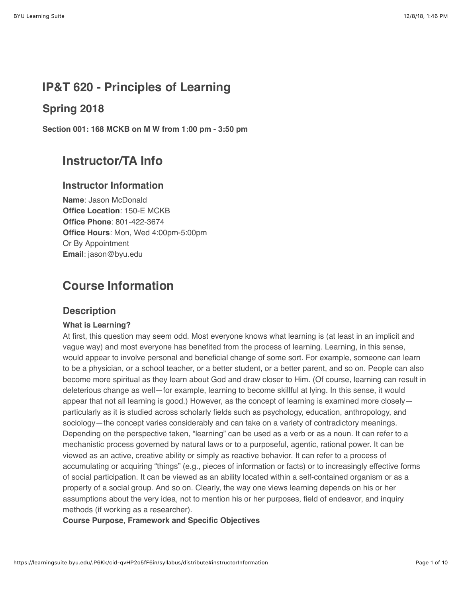# **IP&T 620 - Principles of Learning**

# **Spring 2018**

**Section 001: 168 MCKB on M W from 1:00 pm - 3:50 pm**

# **Instructor/TA Info**

### **Instructor Information**

**Name**: Jason McDonald **Office Location**: 150-E MCKB **Office Phone**: 801-422-3674 **Office Hours**: Mon, Wed 4:00pm-5:00pm Or By Appointment **Email**: jason@byu.edu

# **Course Information**

### **Description**

#### **What is Learning?**

At first, this question may seem odd. Most everyone knows what learning is (at least in an implicit and vague way) and most everyone has benefited from the process of learning. Learning, in this sense, would appear to involve personal and beneficial change of some sort. For example, someone can learn to be a physician, or a school teacher, or a better student, or a better parent, and so on. People can also become more spiritual as they learn about God and draw closer to Him. (Of course, learning can result in deleterious change as well—for example, learning to become skillful at lying. In this sense, it would appear that not all learning is good.) However, as the concept of learning is examined more closely particularly as it is studied across scholarly fields such as psychology, education, anthropology, and sociology—the concept varies considerably and can take on a variety of contradictory meanings. Depending on the perspective taken, "learning" can be used as a verb or as a noun. It can refer to a mechanistic process governed by natural laws or to a purposeful, agentic, rational power. It can be viewed as an active, creative ability or simply as reactive behavior. It can refer to a process of accumulating or acquiring "things" (e.g., pieces of information or facts) or to increasingly effective forms of social participation. It can be viewed as an ability located within a self-contained organism or as a property of a social group. And so on. Clearly, the way one views learning depends on his or her assumptions about the very idea, not to mention his or her purposes, field of endeavor, and inquiry methods (if working as a researcher).

**Course Purpose, Framework and Specific Objectives**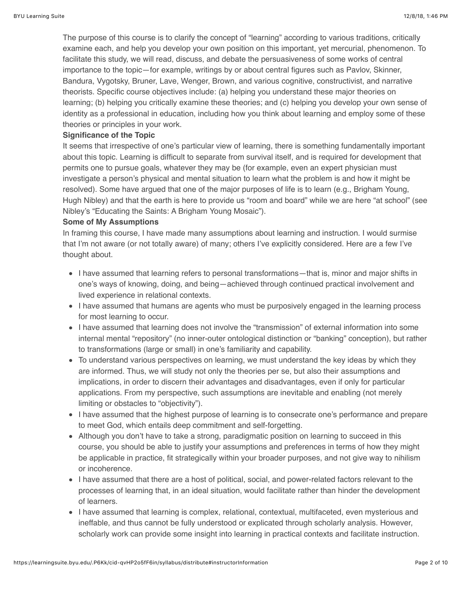The purpose of this course is to clarify the concept of "learning" according to various traditions, critically examine each, and help you develop your own position on this important, yet mercurial, phenomenon. To facilitate this study, we will read, discuss, and debate the persuasiveness of some works of central importance to the topic—for example, writings by or about central figures such as Pavlov, Skinner, Bandura, Vygotsky, Bruner, Lave, Wenger, Brown, and various cognitive, constructivist, and narrative theorists. Specific course objectives include: (a) helping you understand these major theories on learning; (b) helping you critically examine these theories; and (c) helping you develop your own sense of identity as a professional in education, including how you think about learning and employ some of these theories or principles in your work.

#### **Significance of the Topic**

It seems that irrespective of one's particular view of learning, there is something fundamentally important about this topic. Learning is difficult to separate from survival itself, and is required for development that permits one to pursue goals, whatever they may be (for example, even an expert physician must investigate a person's physical and mental situation to learn what the problem is and how it might be resolved). Some have argued that one of the major purposes of life is to learn (e.g., Brigham Young, Hugh Nibley) and that the earth is here to provide us "room and board" while we are here "at school" (see Nibley's "Educating the Saints: A Brigham Young Mosaic").

#### **Some of My Assumptions**

In framing this course, I have made many assumptions about learning and instruction. I would surmise that I'm not aware (or not totally aware) of many; others I've explicitly considered. Here are a few I've thought about.

- I have assumed that learning refers to personal transformations—that is, minor and major shifts in one's ways of knowing, doing, and being—achieved through continued practical involvement and lived experience in relational contexts.
- I have assumed that humans are agents who must be purposively engaged in the learning process for most learning to occur.
- I have assumed that learning does not involve the "transmission" of external information into some internal mental "repository" (no inner-outer ontological distinction or "banking" conception), but rather to transformations (large or small) in one's familiarity and capability.
- To understand various perspectives on learning, we must understand the key ideas by which they are informed. Thus, we will study not only the theories per se, but also their assumptions and implications, in order to discern their advantages and disadvantages, even if only for particular applications. From my perspective, such assumptions are inevitable and enabling (not merely limiting or obstacles to "objectivity").
- I have assumed that the highest purpose of learning is to consecrate one's performance and prepare to meet God, which entails deep commitment and self-forgetting.
- Although you don't have to take a strong, paradigmatic position on learning to succeed in this course, you should be able to justify your assumptions and preferences in terms of how they might be applicable in practice, fit strategically within your broader purposes, and not give way to nihilism or incoherence.
- I have assumed that there are a host of political, social, and power-related factors relevant to the processes of learning that, in an ideal situation, would facilitate rather than hinder the development of learners.
- I have assumed that learning is complex, relational, contextual, multifaceted, even mysterious and ineffable, and thus cannot be fully understood or explicated through scholarly analysis. However, scholarly work can provide some insight into learning in practical contexts and facilitate instruction.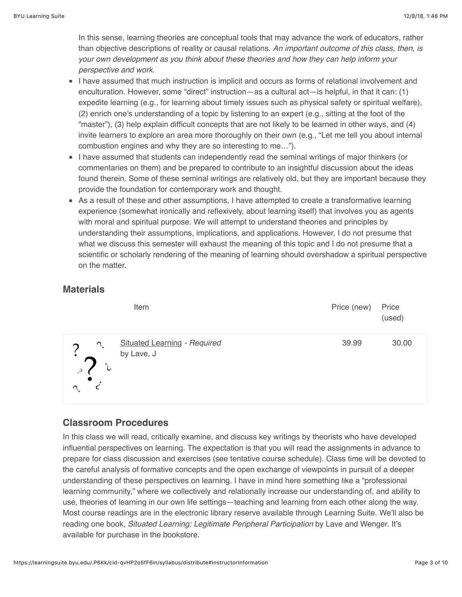In this sense, learning theories are conceptual tools that may advance the work of educators, rather than objective descriptions of reality or causal relations. *An important outcome of this class, then, is your own development as you think about these theories and how they can help inform your perspective and work*.

- I have assumed that much instruction is implicit and occurs as forms of relational involvement and enculturation. However, some "direct" instruction—as a cultural act—is helpful, in that it can: (1) expedite learning (e.g., for learning about timely issues such as physical safety or spiritual welfare), (2) enrich one's understanding of a topic by listening to an expert (e.g., sitting at the foot of the "master"), (3) help explain difficult concepts that are not likely to be learned in other ways, and (4) invite learners to explore an area more thoroughly on their own (e.g., "Let me tell you about internal combustion engines and why they are so interesting to me…").
- I have assumed that students can independently read the seminal writings of major thinkers (or commentaries on them) and be prepared to contribute to an insightful discussion about the ideas found therein. Some of these seminal writings are relatively old, but they are important because they provide the foundation for contemporary work and thought.
- As a result of these and other assumptions, I have attempted to create a transformative learning experience (somewhat ironically and reflexively, about learning itself) that involves you as agents with moral and spiritual purpose. We will attempt to understand theories and principles by understanding their assumptions, implications, and applications. However, I do not presume that what we discuss this semester will exhaust the meaning of this topic and I do not presume that a scientific or scholarly rendering of the meaning of learning should overshadow a spiritual perspective on the matter.

## **Materials**

| Item       |                                     | Price (new) | Price<br>(used) |
|------------|-------------------------------------|-------------|-----------------|
| by Lave, J | <b>Situated Learning - Required</b> | 39.99       | 30.00           |

# **Classroom Procedures**

In this class we will read, critically examine, and discuss key writings by theorists who have developed influential perspectives on learning. The expectation is that you will read the assignments in advance to prepare for class discussion and exercises (see tentative course schedule). Class time will be devoted to the careful analysis of formative concepts and the open exchange of viewpoints in pursuit of a deeper understanding of these perspectives on learning. I have in mind here something like a "professional learning community," where we collectively and relationally increase our understanding of, and ability to use, theories of learning in our own life settings—teaching and learning from each other along the way. Most course readings are in the electronic library reserve available through Learning Suite. We'll also be reading one book, *Situated Learning: Legitimate Peripheral Participation* by Lave and Wenger. It's available for purchase in the bookstore.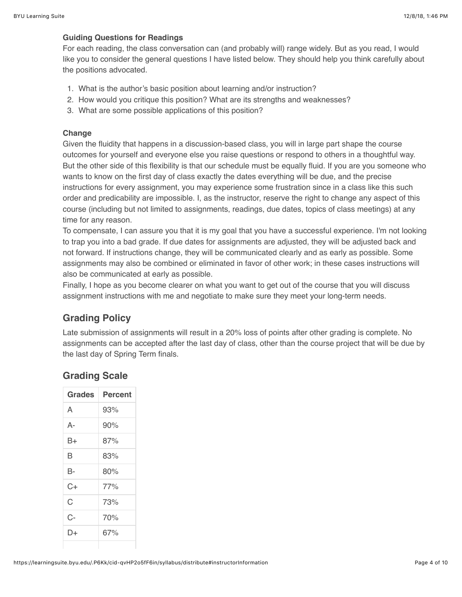#### **Guiding Questions for Readings**

For each reading, the class conversation can (and probably will) range widely. But as you read, I would like you to consider the general questions I have listed below. They should help you think carefully about the positions advocated.

- 1. What is the author's basic position about learning and/or instruction?
- 2. How would you critique this position? What are its strengths and weaknesses?
- 3. What are some possible applications of this position?

#### **Change**

Given the fluidity that happens in a discussion-based class, you will in large part shape the course outcomes for yourself and everyone else you raise questions or respond to others in a thoughtful way. But the other side of this flexibility is that our schedule must be equally fluid. If you are you someone who wants to know on the first day of class exactly the dates everything will be due, and the precise instructions for every assignment, you may experience some frustration since in a class like this such order and predicability are impossible. I, as the instructor, reserve the right to change any aspect of this course (including but not limited to assignments, readings, due dates, topics of class meetings) at any time for any reason.

To compensate, I can assure you that it is my goal that you have a successful experience. I'm not looking to trap you into a bad grade. If due dates for assignments are adjusted, they will be adjusted back and not forward. If instructions change, they will be communicated clearly and as early as possible. Some assignments may also be combined or eliminated in favor of other work; in these cases instructions will also be communicated at early as possible.

Finally, I hope as you become clearer on what you want to get out of the course that you will discuss assignment instructions with me and negotiate to make sure they meet your long-term needs.

# **Grading Policy**

Late submission of assignments will result in a 20% loss of points after other grading is complete. No assignments can be accepted after the last day of class, other than the course project that will be due by the last day of Spring Term finals.

# **Grading Scale**

| Grades | <b>Percent</b> |
|--------|----------------|
| A      | 93%            |
| А-     | 90%            |
| B+     | 87%            |
| В      | 83%            |
| B-     | 80%            |
| C+     | 77%            |
| Ć      | 73%            |
| C-     | 70%            |
| D+     | 67%            |
|        |                |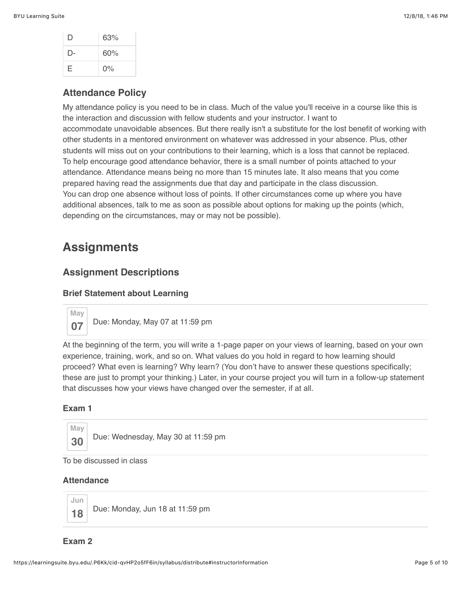| I) | 63%   |
|----|-------|
| D- | 60%   |
| E. | $0\%$ |

### **Attendance Policy**

My attendance policy is you need to be in class. Much of the value you'll receive in a course like this is the interaction and discussion with fellow students and your instructor. I want to accommodate unavoidable absences. But there really isn't a substitute for the lost benefit of working with other students in a mentored environment on whatever was addressed in your absence. Plus, other students will miss out on your contributions to their learning, which is a loss that cannot be replaced. To help encourage good attendance behavior, there is a small number of points attached to your attendance. Attendance means being no more than 15 minutes late. It also means that you come prepared having read the assignments due that day and participate in the class discussion. You can drop one absence without loss of points. If other circumstances come up where you have additional absences, talk to me as soon as possible about options for making up the points (which, depending on the circumstances, may or may not be possible).

# **Assignments**

### **Assignment Descriptions**

#### **Brief Statement about Learning**

**May 07** Due: Monday, May 07 at 11:59 pm

At the beginning of the term, you will write a 1-page paper on your views of learning, based on your own experience, training, work, and so on. What values do you hold in regard to how learning should proceed? What even is learning? Why learn? (You don't have to answer these questions specifically; these are just to prompt your thinking.) Later, in your course project you will turn in a follow-up statement that discusses how your views have changed over the semester, if at all.

#### **Exam 1**



**30** Due: Wednesday, May 30 at 11:59 pm

To be discussed in class

#### **Attendance**



18 **Due: Monday, Jun 18 at 11:59 pm** 

#### **Exam 2**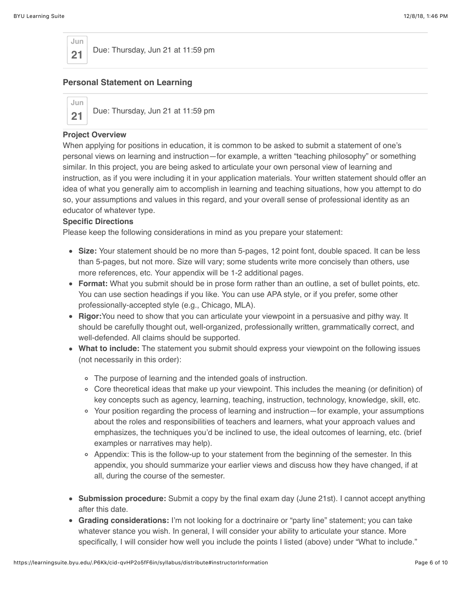

**21** Due: Thursday, Jun 21 at 11:59 pm

#### **Personal Statement on Learning**



21 Due: Thursday, Jun 21 at 11:59 pm

#### **Project Overview**

When applying for positions in education, it is common to be asked to submit a statement of one's personal views on learning and instruction—for example, a written "teaching philosophy" or something similar. In this project, you are being asked to articulate your own personal view of learning and instruction, as if you were including it in your application materials. Your written statement should offer an idea of what you generally aim to accomplish in learning and teaching situations, how you attempt to do so, your assumptions and values in this regard, and your overall sense of professional identity as an educator of whatever type.

#### **Specific Directions**

Please keep the following considerations in mind as you prepare your statement:

- **Size:** Your statement should be no more than 5-pages, 12 point font, double spaced. It can be less than 5-pages, but not more. Size will vary; some students write more concisely than others, use more references, etc. Your appendix will be 1-2 additional pages.
- **Format:** What you submit should be in prose form rather than an outline, a set of bullet points, etc. You can use section headings if you like. You can use APA style, or if you prefer, some other professionally-accepted style (e.g., Chicago, MLA).
- **Rigor:**You need to show that you can articulate your viewpoint in a persuasive and pithy way. It should be carefully thought out, well-organized, professionally written, grammatically correct, and well-defended. All claims should be supported.
- **What to include:** The statement you submit should express your viewpoint on the following issues (not necessarily in this order):
	- The purpose of learning and the intended goals of instruction.
	- Core theoretical ideas that make up your viewpoint. This includes the meaning (or definition) of key concepts such as agency, learning, teaching, instruction, technology, knowledge, skill, etc.
	- Your position regarding the process of learning and instruction—for example, your assumptions about the roles and responsibilities of teachers and learners, what your approach values and emphasizes, the techniques you'd be inclined to use, the ideal outcomes of learning, etc. (brief examples or narratives may help).
	- Appendix: This is the follow-up to your statement from the beginning of the semester. In this appendix, you should summarize your earlier views and discuss how they have changed, if at all, during the course of the semester.
- **Submission procedure:** Submit a copy by the final exam day (June 21st). I cannot accept anything after this date.
- **Grading considerations:** I'm not looking for a doctrinaire or "party line" statement; you can take whatever stance you wish. In general, I will consider your ability to articulate your stance. More specifically, I will consider how well you include the points I listed (above) under "What to include."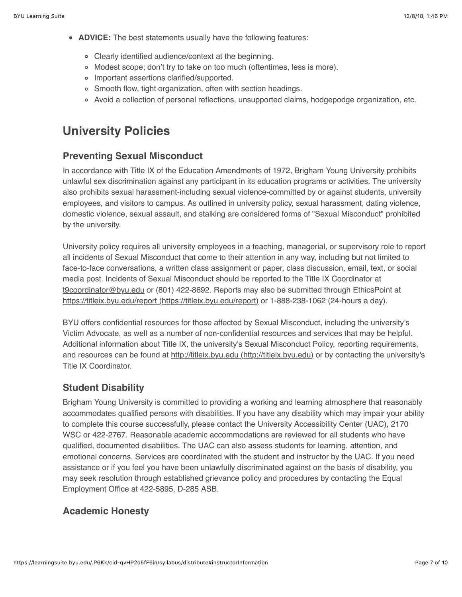- **ADVICE:** The best statements usually have the following features:
	- Clearly identified audience/context at the beginning.
	- Modest scope; don't try to take on too much (oftentimes, less is more).
	- Important assertions clarified/supported.
	- o Smooth flow, tight organization, often with section headings.
	- Avoid a collection of personal reflections, unsupported claims, hodgepodge organization, etc.

# **University Policies**

## **Preventing Sexual Misconduct**

In accordance with Title IX of the Education Amendments of 1972, Brigham Young University prohibits unlawful sex discrimination against any participant in its education programs or activities. The university also prohibits sexual harassment-including sexual violence-committed by or against students, university employees, and visitors to campus. As outlined in university policy, sexual harassment, dating violence, domestic violence, sexual assault, and stalking are considered forms of "Sexual Misconduct" prohibited by the university.

University policy requires all university employees in a teaching, managerial, or supervisory role to report all incidents of Sexual Misconduct that come to their attention in any way, including but not limited to face-to-face conversations, a written class assignment or paper, class discussion, email, text, or social media post. Incidents of Sexual Misconduct should be reported to the Title IX Coordinator at [t9coordinator@byu.edu](mailto:t9coordinator@byu.edu) or (801) 422-8692. Reports may also be submitted through EthicsPoint at [https://titleix.byu.edu/report \(https://titleix.byu.edu/report\)](https://titleix.byu.edu/report) or 1-888-238-1062 (24-hours a day).

BYU offers confidential resources for those affected by Sexual Misconduct, including the university's Victim Advocate, as well as a number of non-confidential resources and services that may be helpful. Additional information about Title IX, the university's Sexual Misconduct Policy, reporting requirements, and resources can be found at [http://titleix.byu.edu \(http://titleix.byu.edu\)](http://titleix.byu.edu/) or by contacting the university's Title IX Coordinator.

### **Student Disability**

Brigham Young University is committed to providing a working and learning atmosphere that reasonably accommodates qualified persons with disabilities. If you have any disability which may impair your ability to complete this course successfully, please contact the University Accessibility Center (UAC), 2170 WSC or 422-2767. Reasonable academic accommodations are reviewed for all students who have qualified, documented disabilities. The UAC can also assess students for learning, attention, and emotional concerns. Services are coordinated with the student and instructor by the UAC. If you need assistance or if you feel you have been unlawfully discriminated against on the basis of disability, you may seek resolution through established grievance policy and procedures by contacting the Equal Employment Office at 422-5895, D-285 ASB.

### **Academic Honesty**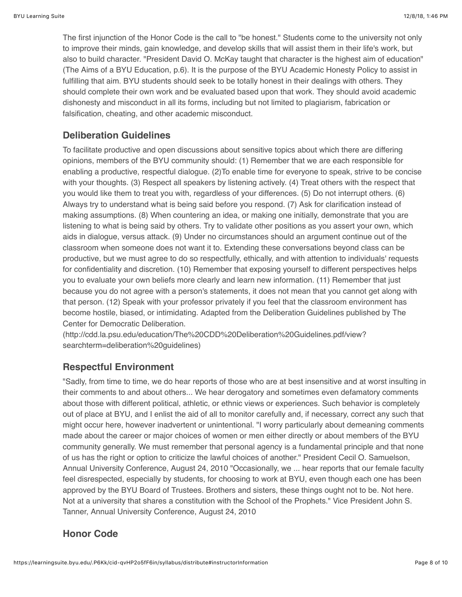The first injunction of the Honor Code is the call to "be honest." Students come to the university not only to improve their minds, gain knowledge, and develop skills that will assist them in their life's work, but also to build character. "President David O. McKay taught that character is the highest aim of education" (The Aims of a BYU Education, p.6). It is the purpose of the BYU Academic Honesty Policy to assist in fulfilling that aim. BYU students should seek to be totally honest in their dealings with others. They should complete their own work and be evaluated based upon that work. They should avoid academic dishonesty and misconduct in all its forms, including but not limited to plagiarism, fabrication or falsification, cheating, and other academic misconduct.

# **Deliberation Guidelines**

To facilitate productive and open discussions about sensitive topics about which there are differing opinions, members of the BYU community should: (1) Remember that we are each responsible for enabling a productive, respectful dialogue. (2)To enable time for everyone to speak, strive to be concise with your thoughts. (3) Respect all speakers by listening actively. (4) Treat others with the respect that you would like them to treat you with, regardless of your differences. (5) Do not interrupt others. (6) Always try to understand what is being said before you respond. (7) Ask for clarification instead of making assumptions. (8) When countering an idea, or making one initially, demonstrate that you are listening to what is being said by others. Try to validate other positions as you assert your own, which aids in dialogue, versus attack. (9) Under no circumstances should an argument continue out of the classroom when someone does not want it to. Extending these conversations beyond class can be productive, but we must agree to do so respectfully, ethically, and with attention to individuals' requests for confidentiality and discretion. (10) Remember that exposing yourself to different perspectives helps you to evaluate your own beliefs more clearly and learn new information. (11) Remember that just because you do not agree with a person's statements, it does not mean that you cannot get along with that person. (12) Speak with your professor privately if you feel that the classroom environment has become hostile, biased, or intimidating. Adapted from the Deliberation Guidelines published by The Center for Democratic Deliberation.

(http://cdd.la.psu.edu/education/The%20CDD%20Deliberation%20Guidelines.pdf/view? searchterm=deliberation%20guidelines)

# **Respectful Environment**

"Sadly, from time to time, we do hear reports of those who are at best insensitive and at worst insulting in their comments to and about others... We hear derogatory and sometimes even defamatory comments about those with different political, athletic, or ethnic views or experiences. Such behavior is completely out of place at BYU, and I enlist the aid of all to monitor carefully and, if necessary, correct any such that might occur here, however inadvertent or unintentional. "I worry particularly about demeaning comments made about the career or major choices of women or men either directly or about members of the BYU community generally. We must remember that personal agency is a fundamental principle and that none of us has the right or option to criticize the lawful choices of another." President Cecil O. Samuelson, Annual University Conference, August 24, 2010 "Occasionally, we ... hear reports that our female faculty feel disrespected, especially by students, for choosing to work at BYU, even though each one has been approved by the BYU Board of Trustees. Brothers and sisters, these things ought not to be. Not here. Not at a university that shares a constitution with the School of the Prophets." Vice President John S. Tanner, Annual University Conference, August 24, 2010

# **Honor Code**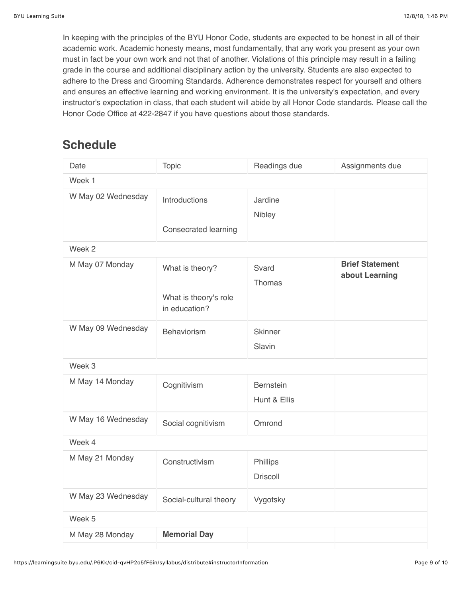In keeping with the principles of the BYU Honor Code, students are expected to be honest in all of their academic work. Academic honesty means, most fundamentally, that any work you present as your own must in fact be your own work and not that of another. Violations of this principle may result in a failing grade in the course and additional disciplinary action by the university. Students are also expected to adhere to the Dress and Grooming Standards. Adherence demonstrates respect for yourself and others and ensures an effective learning and working environment. It is the university's expectation, and every instructor's expectation in class, that each student will abide by all Honor Code standards. Please call the Honor Code Office at 422-2847 if you have questions about those standards.

# **Schedule**

| Date               | <b>Topic</b>                                              | Readings due                     | Assignments due                          |  |
|--------------------|-----------------------------------------------------------|----------------------------------|------------------------------------------|--|
| Week 1             |                                                           |                                  |                                          |  |
| W May 02 Wednesday | Introductions<br><b>Consecrated learning</b>              | Jardine<br>Nibley                |                                          |  |
| Week 2             |                                                           |                                  |                                          |  |
| M May 07 Monday    | What is theory?<br>What is theory's role<br>in education? | Svard<br>Thomas                  | <b>Brief Statement</b><br>about Learning |  |
| W May 09 Wednesday | <b>Behaviorism</b>                                        | <b>Skinner</b><br>Slavin         |                                          |  |
| Week 3             |                                                           |                                  |                                          |  |
| M May 14 Monday    | Cognitivism                                               | <b>Bernstein</b><br>Hunt & Ellis |                                          |  |
| W May 16 Wednesday | Social cognitivism                                        | Omrond                           |                                          |  |
| Week 4             |                                                           |                                  |                                          |  |
| M May 21 Monday    | Constructivism                                            | Phillips<br><b>Driscoll</b>      |                                          |  |
| W May 23 Wednesday | Social-cultural theory                                    | Vygotsky                         |                                          |  |
| Week 5             |                                                           |                                  |                                          |  |
| M May 28 Monday    | <b>Memorial Day</b>                                       |                                  |                                          |  |